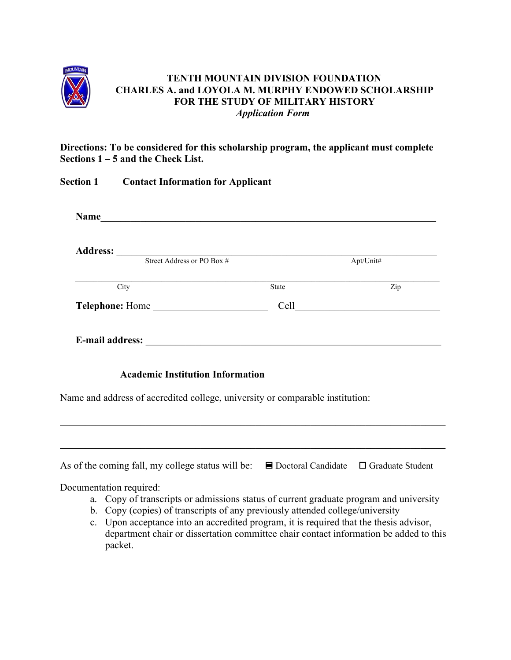

#### **TENTH MOUNTAIN DIVISION FOUNDATION CHARLES A. and LOYOLA M. MURPHY ENDOWED SCHOLARSHIP FOR THE STUDY OF MILITARY HISTORY** *Application Form*

**Directions: To be considered for this scholarship program, the applicant must complete Sections 1 – 5 and the Check List.** 

|                 | <b>Section 1</b> Contact Information for Applicant                                                                                                                                                 |       |                           |
|-----------------|----------------------------------------------------------------------------------------------------------------------------------------------------------------------------------------------------|-------|---------------------------|
|                 | Name                                                                                                                                                                                               |       |                           |
|                 | Address: Street Address or PO Box #                                                                                                                                                                |       |                           |
|                 |                                                                                                                                                                                                    |       | Apt/Unit#                 |
|                 | City                                                                                                                                                                                               | State | $\overline{\mathrm{Zip}}$ |
| Telephone: Home |                                                                                                                                                                                                    |       |                           |
|                 | <b>Academic Institution Information</b><br>Name and address of accredited college, university or comparable institution:                                                                           |       |                           |
|                 |                                                                                                                                                                                                    |       |                           |
|                 | As of the coming fall, my college status will be: $\Box$ Doctoral Candidate $\Box$ Graduate Student                                                                                                |       |                           |
|                 | Documentation required:<br>a. Copy of transcripts or admissions status of current graduate program and university<br>b. Copy (copies) of transcripts of any previously attended college/university |       |                           |

c. Upon acceptance into an accredited program, it is required that the thesis advisor, department chair or dissertation committee chair contact information be added to this packet.